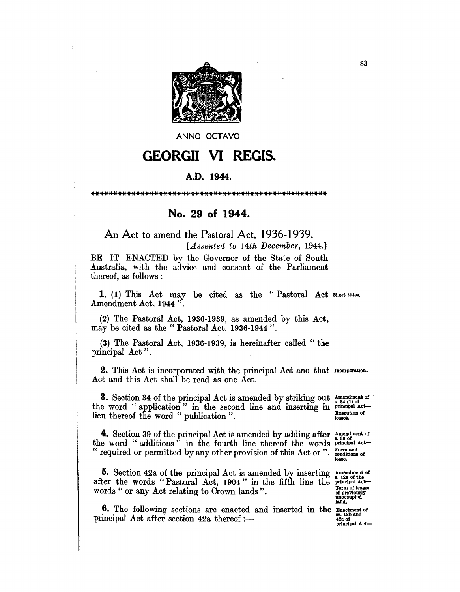

ANNO OCTAVO

## GEORGII VI REGIS.

## A.D. 1944.

\*\*\*\*\*\*\*\*\*\*\*\*\*\*\*\*\*\*\*\*\*\*\*\*\*\*\*\*\*\*\*\*\*\*\*\*\*\*\*\*\*\*\*\*\*\*\*\*\*\*\*\*

## No. 29 of 1944.

An Act to amend the Pastoral Act. 1 936-1939.

*[Assented to 14th December, 1944.]* 

BE IT ENACTED by the Governor of the State of South Australia, with the advice and consent of the Parliament thereof, as follows:

1. (1) This Act may be cited as the "Pastoral Act Short titles, Amendment Act, 1944".

(2) The Pastoral Act, 1936-1939, as amended by this Act, may be cited as the" Pastoral Act, 1936-1944".

(3) The Pastoral Act, 1936-1939, is hereinafter called" the principal Act".

2. This Act is incorporated with the principal Act and that Incorporation. Act and this Act shall be read as one Act.

**3.** Section 34 of the principal Act is amended by striking out  $\frac{A_{\text{meandment}}}{A_{\text{max}}(1)}$  of the word "application" in the second line and inserting in  $\frac{1}{2}$  principal Actlieu thereof the word "publication".

4. Section 39 of the principal Act is amended by adding after  $\frac{4}{2}$  and  $\frac{6}{2}$ the word "additions" in the fourth line thereof the words  $_{\text{principal act}}$ " required or permitted by any other provision of this Act or ".

5. Section 42a of the principal Act is amended by inserting after the words "Pastoral Act, 1904" in the fifth line the words " or any Act relating to Crown lands".

**6.** The following sections are enacted and inserted in the  $\frac{1}{88}$  and  $\frac{1}{42}$  and  $\frac{1}{88}$ .  $\frac{1}{42}$  and  $\frac{1}{88}$ principal Act after section  $42a$  thereof :-

Form and<br>conditions of

Amendment of<br>
8. 42a of the<br>
principal Act-Term of leases of previously unoccupied land.

420 of principal Act-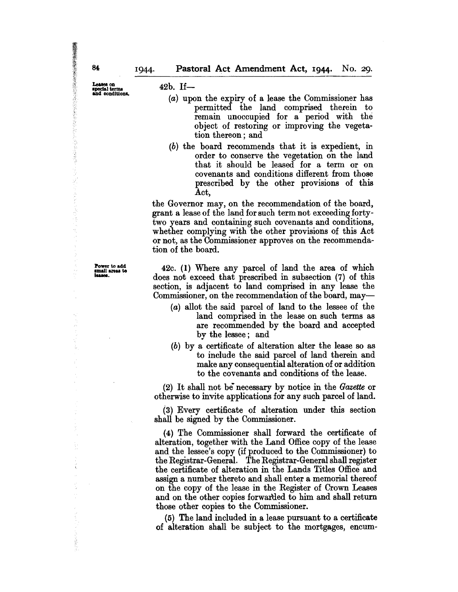Power to add<br>small areas to<br>leases.

42b. If-

- (a) upon the expiry of a lease the Commissioner has permitted the land comprised therein to remain unoccupied for a period with the object of restoring or improving the vegetation thereon; and
- (b) the board recommends that it is expedient, in order to conserve the vegetation on the land that it should be leased for a term or on covenants and conditions different from those prescribed by the other provisions of this Act,

the Governor may, on the recommendation of the board, grant a lease of the land for such term not exceeding fortytwo years and containing such covenants and conditions, whether complying with the other provisions of this Act or not, as the Commissioner approves on the recommendation of the board.

42c. (1) Where any parcel of land the area of which does not exceed that prescribed in subsection (7) of this section, is adjacent to land comprised in any lease the Commissioner, on the recommendation of the board, may-

- (a) allot the said parcel of land to the lessee of the land comprised in the lease on such terms as are recommended by the board and accepted by the lessee; and
- (b) by a certificate of alteration alter the lease so as to include the said parcel of land therein and make any consequential alteration of or addition to the covenants and conditions of the lease.

(2) It shall not be- necessary by notice in the *Gazette* or otherwise to invite applications for any such parcel of land.

(3) Every certificate of alteration under this section shall be signed by the Commissioner.

(4) The Commissioner shall forward the certificate of alteration, together with the Land Office copy of the lease and the lessee's copy (if produced to the Commissioner) to the Registrar-General. The Registrar-General shall register the certificate of alteration in the Lands Titles Office and assign a number thereto and shall enter a memorial thereof on the copy of the lease in the Register of Crown Leases and on the other copies forwartled to him and shall return those other copies to the Commissioner.

(5) The land included in a lease pursuant to a certificate of alteration shall be subject to the mortgages, encum-

84

医抗凝血法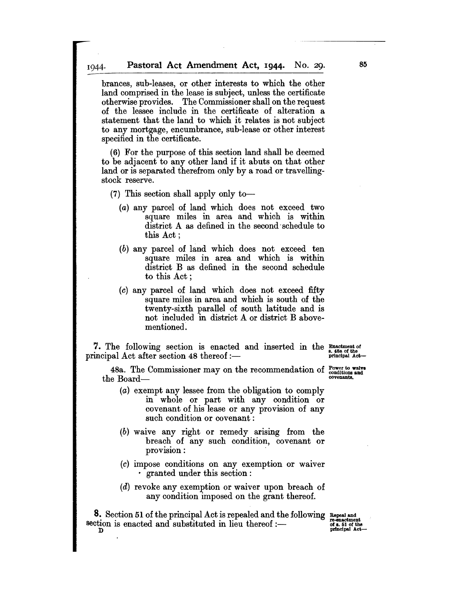brances, sub-leases, or other interests to which the other land comprised in the lease is subject, unless the certificate otherwise provides. The Commissioner shall on the request of the lessee include in the certificate of alteration a statement that the land to which it relates is not subject to any mortgage, encumbrance, sub-lease or other interest specified in the certificate.

(6) For the purpose of this section land shall be deemed to be adjacent to any other land if it abuts on that other land or is separated therefrom only by a road or travellingstock reserve.

- (7) This section shall apply only to-
	- (a) any parcel of land which does not exceed two square miles in area and which is within district A as defined in the second schedule to this Act;
	- $(b)$  any parcel of land which does not exceed ten square miles in area and which is within district B as defined in the second schedule to this Act;
	- (c) any parcel of land which does not exceed fifty square miles in area and which is south of the twenty-sixth parallel of south latitude and is not included in district A or district B abovementioned.

7. The following section is enacted and inserted in the Exactment of principal Act after section 48 thereof :--

48a. The Commissioner may on the recommendation of  $_{\text{conditions and}}^{Power to~water}$ the Board-<br>
covenants.

- (a) exempt any lessee from the obligation to comply in whole or part with any condition or covenant of his lease or any provision of any such condition or covenant:
- (b) waive any right or remedy arising from the breach of any such condition, covenant or provision: .
- (c) impose conditions on any exemption or waiver • granted under this section:
- (d) revoke any exemption or waiver upon breach of any condition imposed on the grant thereof.

8. Section 51 of the principal Act is repealed and the following Repeal and section is enacted and substituted in lieu thereof :--<br>D principal Act-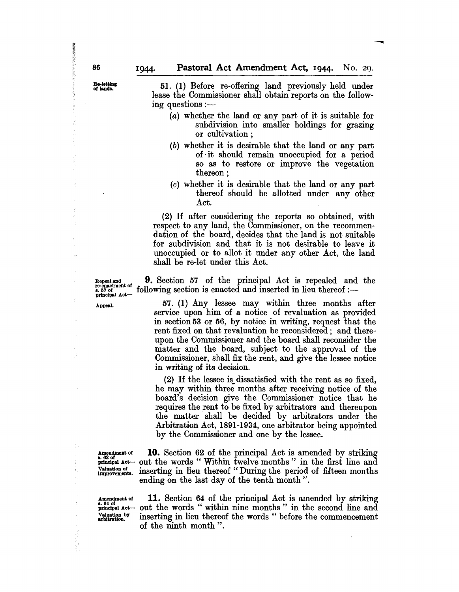51. (1) Before re-offering land previously held under lease the Commissioner shall obtain reports on the following questions  $:$ ----

- (a) whether the land or any part of it is suitable for subdivision into smaller holdings for grazing or cultivation;
- (b) whether it is desirable that the land or any part of, it should remain unoccupied for a period so as to restore or improve the vegetation thereon;
- (c) whether it is desirable that the land or any part thereof should be allotted under any other Act.

(2) If after considering the reports so obtained, with respect to any land, the Commissioner, on the recommendation of the board, decides that the land is not suitable for subdivision and that it is not desirable to leave it unoccupied or to allot it under any other Act, the land shall be re-Iet under this Act.

Repeal and **9.** Section 57 of the principal Act is repealed and the following section is enacted and inserted in lieu thereof :re-enactment of<br>s. 57 of<br>principal Act-

Appeal. 57. (1) Any lessee may within three months after service upon him of a notice of revaluation as provided in section 53 or 56, by notice in writing, request that the rent fixed on that revaluation be reconsidered; and thereupon the Commissioner and the board shall reconsider the matter and the board, subject to the approval of the Commissioner, shall fix the rent, and give the lessee notice in writing of its decision.

> (2) If the lessee is. dissatisfied with the rent as so fixed, he may within three months after receiving notice of the board's decision give the Commissioner notice that he requires the rent to be fixed by arbitrators and thereupon the matter shall be decided by arbitrators under the Arbitration Act, 1891-1934, one arbitrator being appointed by the Commissioner and one by the lessee.

÷

ÿ

k,

Amendment of **10.** Section 62 of the principal Act is amended by striking  $\frac{62 \text{ of}}{\text{principal Act}}$  out the words "Within twelve months" in the first line and  $_{\text{princlpsl}\ \text{Act}}^{\text{inclens}}$  out the words " Within twelve months" in the first line and Valuation of interesting in lieu thereof "During the period of fifteen months" inserting in lieu thereof "During the period of fifteen months ending on the last day of the tenth month".

Amendment of **11.** Section 64 of the principal Act is amended by striking  $\frac{J_{\text{in}}}{J_{\text{in}}}\$  Act- out the words "within nine months" in the second line and valuation by inserting in lieu thereof the words "before the commencement  $\frac{V_{\text{aluation}}}{V_{\text{arbitration}}}$  inserting in lieu thereof the words " before the commencement of the ninth month".

Banker Salement

Re-letting<br>of lands.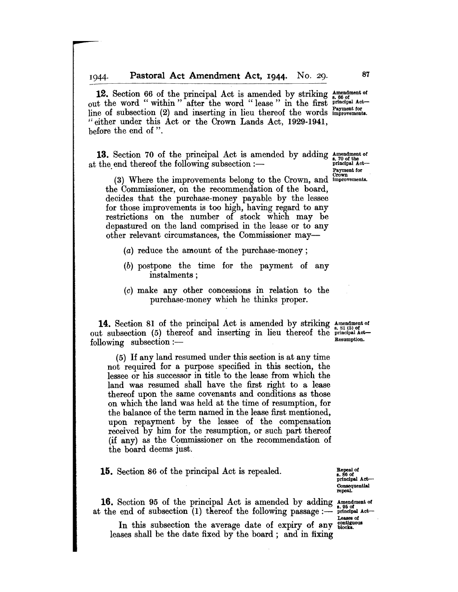12. Section 66 of the principal Act is amended by striking  $_{8.66}^{Ameindment of}$ out the word "within" after the word "lease" in the first principal Actline of subsection (2) and inserting in lieu thereof the words improvements. \$: either under this Act or the Crown Lands Act, 1929-1941, before the end of ".

**13.** Section 70 of the principal Act is amended by adding  $\frac{A_{\text{meindment of}}}{p_{\text{min of the}}}}$  at the end thereof the following subsection :---

(3) Where the improvements belong to the Crown, and *improvements*. the Commissioner, on the recommendation of the board, decides that the purchase-money payable by the lessee for those improvements is too high, having regard to any restrictions on the number of stock which may be depastured on the land comprised in the lease or to any other relevant circumstances, the Commissioner may-

- (a) reduce the amount of the purchase-money;
- (b) postpone the time for the payment of any instalments ;
- (c) make any other concessions in relation to the purchase-money which he thinks proper.

**14.** Section 81 of the principal Act is amended by striking  $_{8,81\,(5)~\text{of}}^{h}$ out subsection (5) thereof and inserting in lieu thereof the principal Actfollowing subsection: -- Resumption.

(5) If any land resumed under this section is at any time not required for a purpose specified in this section, the lessee or his successor in title to the lease from which the land was resumed shall have the first right to a lease thereof upon the same covenants and conditions as those on which the land was held at the time of resumption, for the balance of the term named in the lease first mentioned, upon repayment by the lessee of the compensation received by him for the resumption, or such part thereof (if any) as the Commissioner on the recommendation of the board deems just.

**15.** Section 86 of the principal Act is repealed.

Repeal of<br>s. 86 of principal Act-Consequential repeal.

**16.** Section 95 of the principal Act is amended by adding  $\Lambda_{0.95}^{m}$  menture of at the end of subsection (1) thereof the following passage:-  $\frac{1}{2}$  interval Act-

In this subsection the average date of expiry of any chalges of leases shall be the date fixed by the board; and in fixing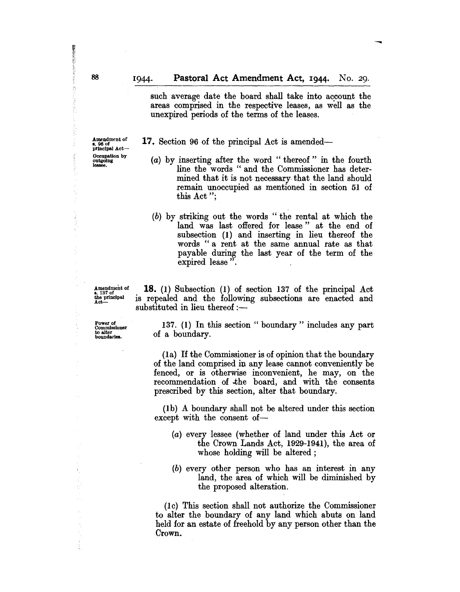such average date the board shall take into account the areas comprised in the respective leases, as well as the unexpired periods of the terms of the leases.

17. Section 96 of the principal Act is amended-

- (a) by inserting after the word" thereof" in the fourth line the words " and the Commissioner has determined that it is not necessary· that the land should remain unoccupied as mentioned in section 51 of this Act";
- (b) by striking out the words" the rental at which the land was last offered for lease" at the end of subsection (1) and inserting in lieu thereof the words "a rent at the same annual rate as that payable during the last year of the term of the expired lease".

Amendment of B. 137 of the principal<br>Act---

18. (1) Subsection (I) of section 137 of the principal Act is repealed and the following subsections are enacted and substituted in lieu thereof  $:$   $-$ 

Power of Commissioner to alter<br>boundaries.

137. (1) In this section "boundary" includes any part of a boundary.

(Ia) If the Commissioner is of opinion that the boundary of the land comprised in any lease cannot conveniently be fenced, or is otherwise inconvenient, he may, on the recommendation of .the board, and with the consents prescribed by this section, alter that boundary.

(1 b) A boundary shall not be altered under this section except with the consent of-

- (a) every lessee (whether of land under this Act or the Crown Lands Act, 1929-1941), the area of whose holding will be altered;
- (b) every other person who has an interest in any land, the area of which will be diminished by the proposed alteration.

(lc) This section shall not authorize the Commissioner to alter the boundary of any land which abuts on land held for an estate of freehold by any person other than the Crown.

**Edination of the condition of the Condition of the Condition of the Condition of the Condition of the Condition** 

商品が安く外部

š in the control

A personal

Amendment of<br>s. 96 of principal Act-Occupation by outgoing<br>lessee.